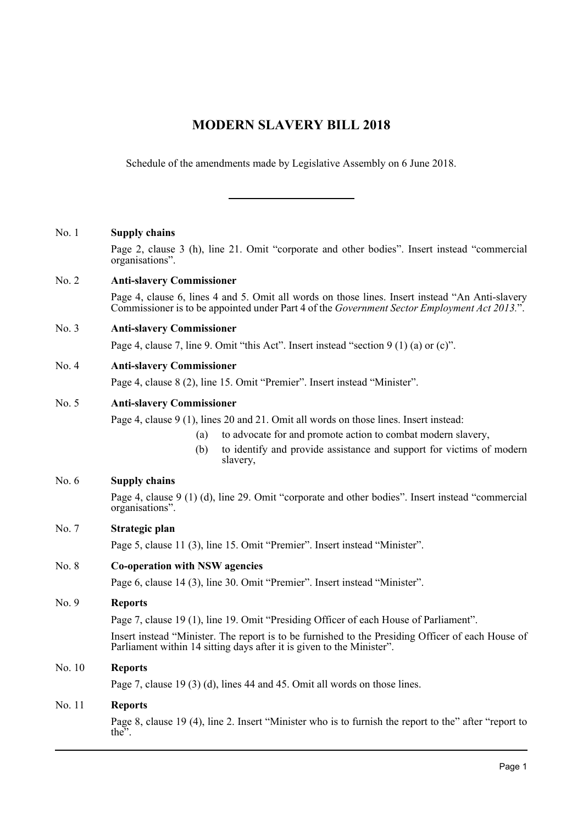# **MODERN SLAVERY BILL 2018**

Schedule of the amendments made by Legislative Assembly on 6 June 2018.

### No. 1 **Supply chains**

Page 2, clause 3 (h), line 21. Omit "corporate and other bodies". Insert instead "commercial organisations".

### No. 2 **Anti-slavery Commissioner**

Page 4, clause 6, lines 4 and 5. Omit all words on those lines. Insert instead "An Anti-slavery Commissioner is to be appointed under Part 4 of the *Government Sector Employment Act 2013.*".

### No. 3 **Anti-slavery Commissioner**

Page 4, clause 7, line 9. Omit "this Act". Insert instead "section 9 (1) (a) or (c)".

### No. 4 **Anti-slavery Commissioner**

Page 4, clause 8 (2), line 15. Omit "Premier". Insert instead "Minister".

### No. 5 **Anti-slavery Commissioner**

Page 4, clause 9 (1), lines 20 and 21. Omit all words on those lines. Insert instead:

- (a) to advocate for and promote action to combat modern slavery,
- (b) to identify and provide assistance and support for victims of modern slavery,

## No. 6 **Supply chains**

Page 4, clause 9 (1) (d), line 29. Omit "corporate and other bodies". Insert instead "commercial organisations".

### No. 7 **Strategic plan**

Page 5, clause 11 (3), line 15. Omit "Premier". Insert instead "Minister".

### No. 8 **Co-operation with NSW agencies**

Page 6, clause 14 (3), line 30. Omit "Premier". Insert instead "Minister".

#### No. 9 **Reports**

Page 7, clause 19 (1), line 19. Omit "Presiding Officer of each House of Parliament".

Insert instead "Minister. The report is to be furnished to the Presiding Officer of each House of Parliament within 14 sitting days after it is given to the Minister".

### No. 10 **Reports**

Page 7, clause 19 (3) (d), lines 44 and 45. Omit all words on those lines.

### No. 11 **Reports**

Page 8, clause 19 (4), line 2. Insert "Minister who is to furnish the report to the" after "report to the".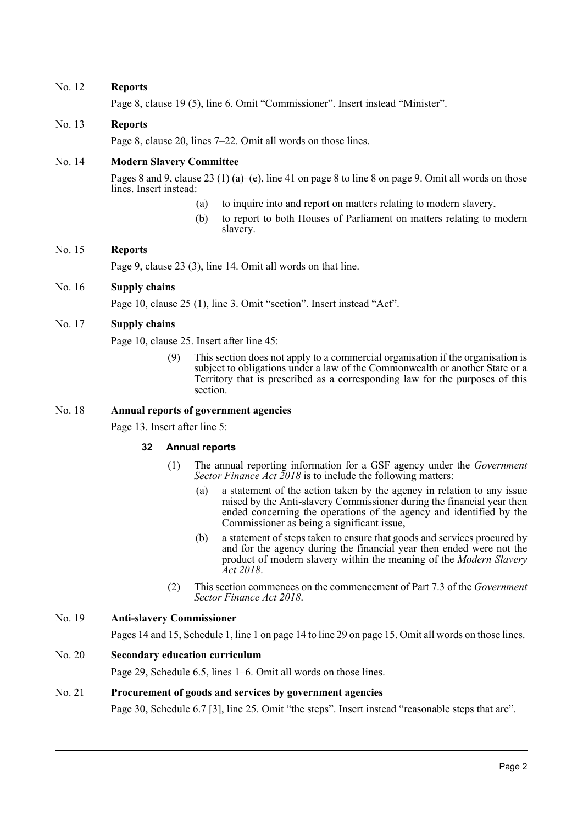### No. 12 **Reports**

Page 8, clause 19 (5), line 6. Omit "Commissioner". Insert instead "Minister".

## No. 13 **Reports**

Page 8, clause 20, lines 7–22. Omit all words on those lines.

### No. 14 **Modern Slavery Committee**

Pages 8 and 9, clause 23 (1) (a)–(e), line 41 on page 8 to line 8 on page 9. Omit all words on those lines. Insert instead:

- (a) to inquire into and report on matters relating to modern slavery,
- (b) to report to both Houses of Parliament on matters relating to modern slavery.

### No. 15 **Reports**

Page 9, clause 23 (3), line 14. Omit all words on that line.

### No. 16 **Supply chains**

Page 10, clause 25 (1), line 3. Omit "section". Insert instead "Act".

### No. 17 **Supply chains**

Page 10, clause 25. Insert after line 45:

This section does not apply to a commercial organisation if the organisation is subject to obligations under a law of the Commonwealth or another State or a Territory that is prescribed as a corresponding law for the purposes of this section.

### No. 18 **Annual reports of government agencies**

Page 13. Insert after line 5:

### **32 Annual reports**

- (1) The annual reporting information for a GSF agency under the *Government Sector Finance Act 2018* is to include the following matters:
	- (a) a statement of the action taken by the agency in relation to any issue raised by the Anti-slavery Commissioner during the financial year then ended concerning the operations of the agency and identified by the Commissioner as being a significant issue,
	- (b) a statement of steps taken to ensure that goods and services procured by and for the agency during the financial year then ended were not the product of modern slavery within the meaning of the *Modern Slavery Act 2018*.
- (2) This section commences on the commencement of Part 7.3 of the *Government Sector Finance Act 2018*.

## No. 19 **Anti-slavery Commissioner**

Pages 14 and 15, Schedule 1, line 1 on page 14 to line 29 on page 15. Omit all words on those lines.

### No. 20 **Secondary education curriculum**

Page 29, Schedule 6.5, lines 1–6. Omit all words on those lines.

### No. 21 **Procurement of goods and services by government agencies**

Page 30, Schedule 6.7 [3], line 25. Omit "the steps". Insert instead "reasonable steps that are".